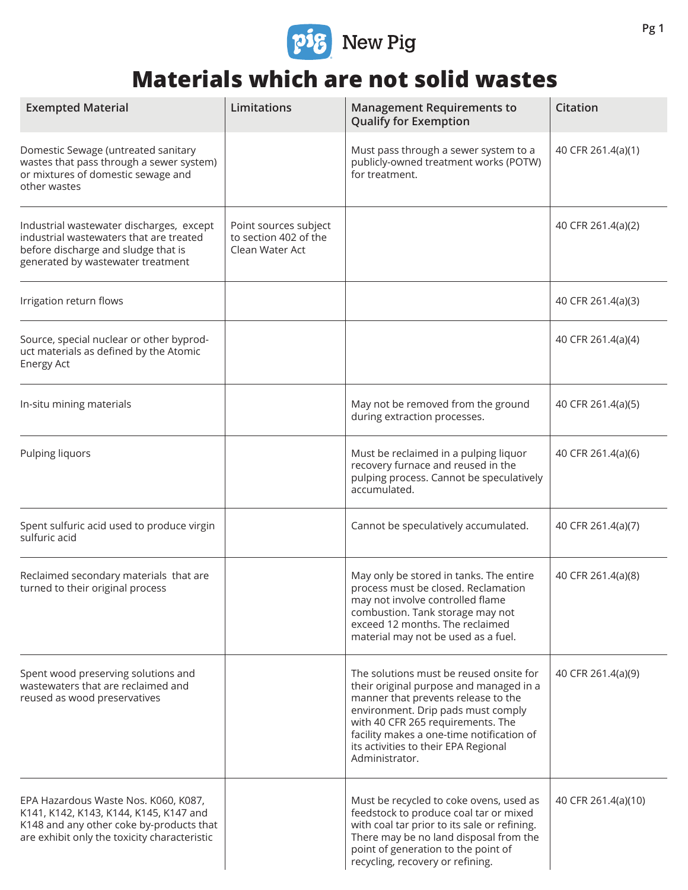

## **Materials which are not solid wastes**

| <b>Exempted Material</b>                                                                                                                                                   | Limitations                                                       | <b>Management Requirements to</b><br><b>Qualify for Exemption</b>                                                                                                                                                                                                                                           | <b>Citation</b>     |
|----------------------------------------------------------------------------------------------------------------------------------------------------------------------------|-------------------------------------------------------------------|-------------------------------------------------------------------------------------------------------------------------------------------------------------------------------------------------------------------------------------------------------------------------------------------------------------|---------------------|
| Domestic Sewage (untreated sanitary<br>wastes that pass through a sewer system)<br>or mixtures of domestic sewage and<br>other wastes                                      |                                                                   | Must pass through a sewer system to a<br>publicly-owned treatment works (POTW)<br>for treatment.                                                                                                                                                                                                            | 40 CFR 261.4(a)(1)  |
| Industrial wastewater discharges, except<br>industrial wastewaters that are treated<br>before discharge and sludge that is<br>generated by wastewater treatment            | Point sources subject<br>to section 402 of the<br>Clean Water Act |                                                                                                                                                                                                                                                                                                             | 40 CFR 261.4(a)(2)  |
| Irrigation return flows                                                                                                                                                    |                                                                   |                                                                                                                                                                                                                                                                                                             | 40 CFR 261.4(a)(3)  |
| Source, special nuclear or other byprod-<br>uct materials as defined by the Atomic<br><b>Energy Act</b>                                                                    |                                                                   |                                                                                                                                                                                                                                                                                                             | 40 CFR 261.4(a)(4)  |
| In-situ mining materials                                                                                                                                                   |                                                                   | May not be removed from the ground<br>during extraction processes.                                                                                                                                                                                                                                          | 40 CFR 261.4(a)(5)  |
| Pulping liquors                                                                                                                                                            |                                                                   | Must be reclaimed in a pulping liquor<br>recovery furnace and reused in the<br>pulping process. Cannot be speculatively<br>accumulated.                                                                                                                                                                     | 40 CFR 261.4(a)(6)  |
| Spent sulfuric acid used to produce virgin<br>sulfuric acid                                                                                                                |                                                                   | Cannot be speculatively accumulated.                                                                                                                                                                                                                                                                        | 40 CFR 261.4(a)(7)  |
| Reclaimed secondary materials that are<br>turned to their original process                                                                                                 |                                                                   | May only be stored in tanks. The entire<br>process must be closed. Reclamation<br>may not involve controlled flame<br>combustion. Tank storage may not<br>exceed 12 months. The reclaimed<br>material may not be used as a fuel.                                                                            | 40 CFR 261.4(a)(8)  |
| Spent wood preserving solutions and<br>wastewaters that are reclaimed and<br>reused as wood preservatives                                                                  |                                                                   | The solutions must be reused onsite for<br>their original purpose and managed in a<br>manner that prevents release to the<br>environment. Drip pads must comply<br>with 40 CFR 265 requirements. The<br>facility makes a one-time notification of<br>its activities to their EPA Regional<br>Administrator. | 40 CFR 261.4(a)(9)  |
| EPA Hazardous Waste Nos. K060, K087,<br>K141, K142, K143, K144, K145, K147 and<br>K148 and any other coke by-products that<br>are exhibit only the toxicity characteristic |                                                                   | Must be recycled to coke ovens, used as<br>feedstock to produce coal tar or mixed<br>with coal tar prior to its sale or refining.<br>There may be no land disposal from the<br>point of generation to the point of<br>recycling, recovery or refining.                                                      | 40 CFR 261.4(a)(10) |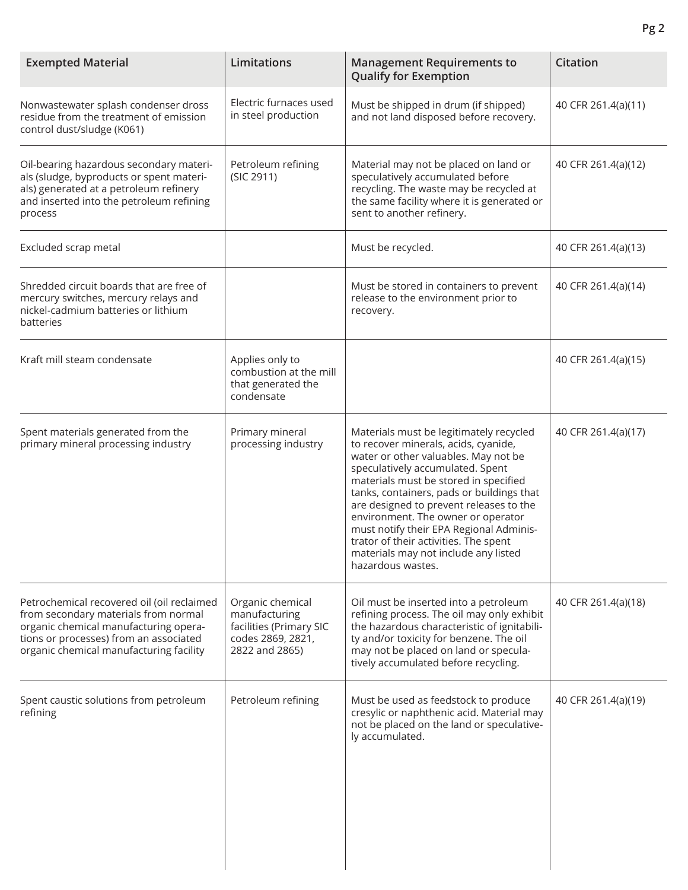| <b>Exempted Material</b>                                                                                                                                                                                         | Limitations                                                                                         | <b>Management Requirements to</b><br><b>Qualify for Exemption</b>                                                                                                                                                                                                                                                                                                                                                                                                                   | <b>Citation</b>     |
|------------------------------------------------------------------------------------------------------------------------------------------------------------------------------------------------------------------|-----------------------------------------------------------------------------------------------------|-------------------------------------------------------------------------------------------------------------------------------------------------------------------------------------------------------------------------------------------------------------------------------------------------------------------------------------------------------------------------------------------------------------------------------------------------------------------------------------|---------------------|
| Nonwastewater splash condenser dross<br>residue from the treatment of emission<br>control dust/sludge (K061)                                                                                                     | Electric furnaces used<br>in steel production                                                       | Must be shipped in drum (if shipped)<br>and not land disposed before recovery.                                                                                                                                                                                                                                                                                                                                                                                                      | 40 CFR 261.4(a)(11) |
| Oil-bearing hazardous secondary materi-<br>als (sludge, byproducts or spent materi-<br>als) generated at a petroleum refinery<br>and inserted into the petroleum refining<br>process                             | Petroleum refining<br>(SIC 2911)                                                                    | Material may not be placed on land or<br>speculatively accumulated before<br>recycling. The waste may be recycled at<br>the same facility where it is generated or<br>sent to another refinery.                                                                                                                                                                                                                                                                                     | 40 CFR 261.4(a)(12) |
| Excluded scrap metal                                                                                                                                                                                             |                                                                                                     | Must be recycled.                                                                                                                                                                                                                                                                                                                                                                                                                                                                   | 40 CFR 261.4(a)(13) |
| Shredded circuit boards that are free of<br>mercury switches, mercury relays and<br>nickel-cadmium batteries or lithium<br>batteries                                                                             |                                                                                                     | Must be stored in containers to prevent<br>release to the environment prior to<br>recovery.                                                                                                                                                                                                                                                                                                                                                                                         | 40 CFR 261.4(a)(14) |
| Kraft mill steam condensate                                                                                                                                                                                      | Applies only to<br>combustion at the mill<br>that generated the<br>condensate                       |                                                                                                                                                                                                                                                                                                                                                                                                                                                                                     | 40 CFR 261.4(a)(15) |
| Spent materials generated from the<br>primary mineral processing industry                                                                                                                                        | Primary mineral<br>processing industry                                                              | Materials must be legitimately recycled<br>to recover minerals, acids, cyanide,<br>water or other valuables. May not be<br>speculatively accumulated. Spent<br>materials must be stored in specified<br>tanks, containers, pads or buildings that<br>are designed to prevent releases to the<br>environment. The owner or operator<br>must notify their EPA Regional Adminis-<br>trator of their activities. The spent<br>materials may not include any listed<br>hazardous wastes. | 40 CFR 261.4(a)(17) |
| Petrochemical recovered oil (oil reclaimed<br>from secondary materials from normal<br>organic chemical manufacturing opera-<br>tions or processes) from an associated<br>organic chemical manufacturing facility | Organic chemical<br>manufacturing<br>facilities (Primary SIC<br>codes 2869, 2821,<br>2822 and 2865) | Oil must be inserted into a petroleum<br>refining process. The oil may only exhibit<br>the hazardous characteristic of ignitabili-<br>ty and/or toxicity for benzene. The oil<br>may not be placed on land or specula-<br>tively accumulated before recycling.                                                                                                                                                                                                                      | 40 CFR 261.4(a)(18) |
| Spent caustic solutions from petroleum<br>refining                                                                                                                                                               | Petroleum refining                                                                                  | Must be used as feedstock to produce<br>cresylic or naphthenic acid. Material may<br>not be placed on the land or speculative-<br>ly accumulated.                                                                                                                                                                                                                                                                                                                                   | 40 CFR 261.4(a)(19) |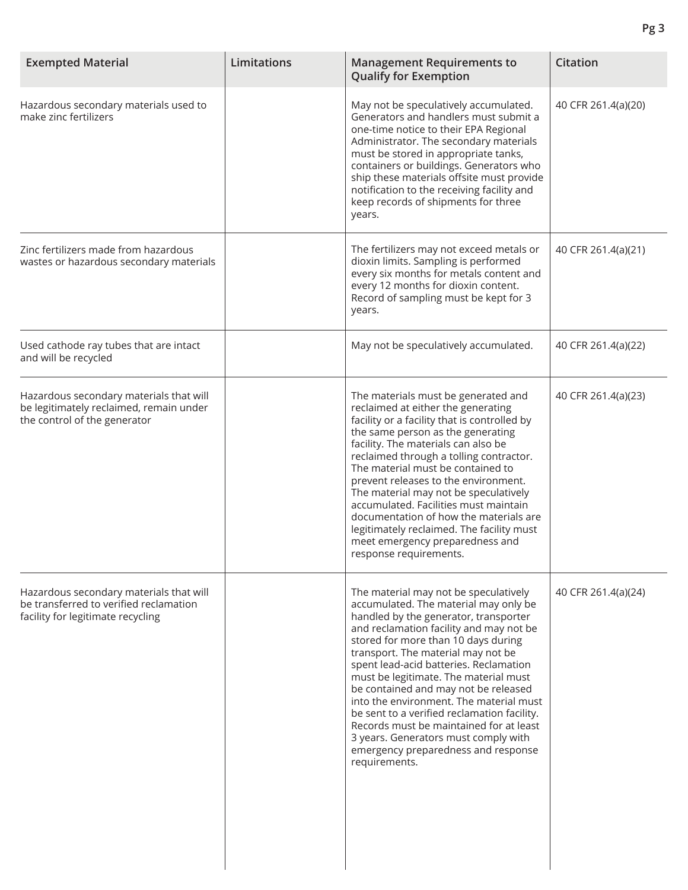| <b>Exempted Material</b>                                                                                               | Limitations | <b>Management Requirements to</b><br><b>Qualify for Exemption</b>                                                                                                                                                                                                                                                                                                                                                                                                                                                                                                                                               | <b>Citation</b>     |
|------------------------------------------------------------------------------------------------------------------------|-------------|-----------------------------------------------------------------------------------------------------------------------------------------------------------------------------------------------------------------------------------------------------------------------------------------------------------------------------------------------------------------------------------------------------------------------------------------------------------------------------------------------------------------------------------------------------------------------------------------------------------------|---------------------|
| Hazardous secondary materials used to<br>make zinc fertilizers                                                         |             | May not be speculatively accumulated.<br>Generators and handlers must submit a<br>one-time notice to their EPA Regional<br>Administrator. The secondary materials<br>must be stored in appropriate tanks,<br>containers or buildings. Generators who<br>ship these materials offsite must provide<br>notification to the receiving facility and<br>keep records of shipments for three<br>years.                                                                                                                                                                                                                | 40 CFR 261.4(a)(20) |
| Zinc fertilizers made from hazardous<br>wastes or hazardous secondary materials                                        |             | The fertilizers may not exceed metals or<br>dioxin limits. Sampling is performed<br>every six months for metals content and<br>every 12 months for dioxin content.<br>Record of sampling must be kept for 3<br>years.                                                                                                                                                                                                                                                                                                                                                                                           | 40 CFR 261.4(a)(21) |
| Used cathode ray tubes that are intact<br>and will be recycled                                                         |             | May not be speculatively accumulated.                                                                                                                                                                                                                                                                                                                                                                                                                                                                                                                                                                           | 40 CFR 261.4(a)(22) |
| Hazardous secondary materials that will<br>be legitimately reclaimed, remain under<br>the control of the generator     |             | The materials must be generated and<br>reclaimed at either the generating<br>facility or a facility that is controlled by<br>the same person as the generating<br>facility. The materials can also be<br>reclaimed through a tolling contractor.<br>The material must be contained to<br>prevent releases to the environment.<br>The material may not be speculatively<br>accumulated. Facilities must maintain<br>documentation of how the materials are<br>legitimately reclaimed. The facility must<br>meet emergency preparedness and<br>response requirements.                                             | 40 CFR 261.4(a)(23) |
| Hazardous secondary materials that will<br>be transferred to verified reclamation<br>facility for legitimate recycling |             | The material may not be speculatively<br>accumulated. The material may only be<br>handled by the generator, transporter<br>and reclamation facility and may not be<br>stored for more than 10 days during<br>transport. The material may not be<br>spent lead-acid batteries. Reclamation<br>must be legitimate. The material must<br>be contained and may not be released<br>into the environment. The material must<br>be sent to a verified reclamation facility.<br>Records must be maintained for at least<br>3 years. Generators must comply with<br>emergency preparedness and response<br>requirements. | 40 CFR 261.4(a)(24) |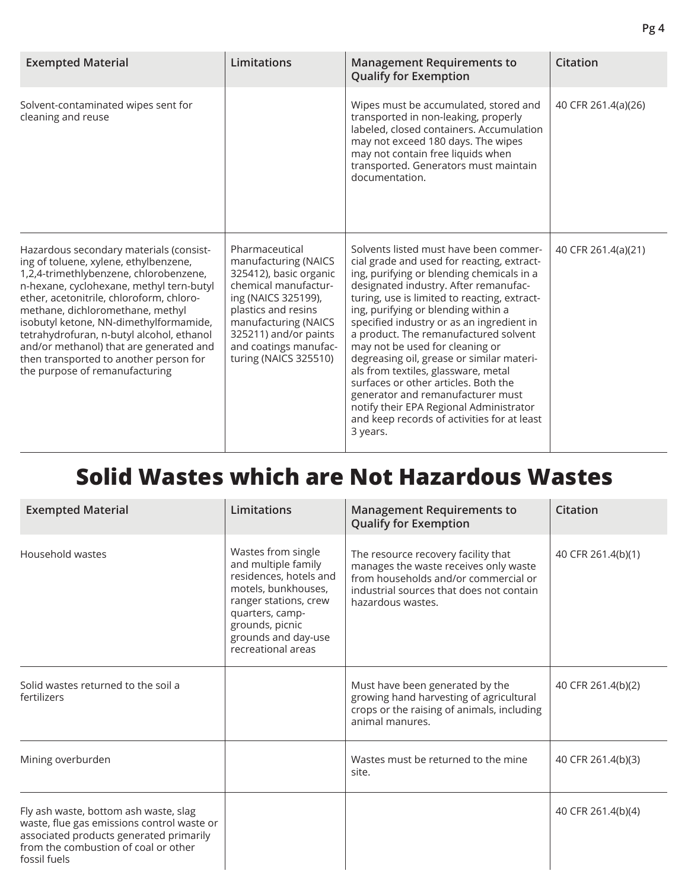| <b>Exempted Material</b>                                                                                                                                                                                                                                                                                                                                                                                                                                             | Limitations                                                                                                                                                                                                                               | <b>Management Requirements to</b><br><b>Qualify for Exemption</b>                                                                                                                                                                                                                                                                                                                                                                                                                                                                                                                                                                                                 | <b>Citation</b>     |
|----------------------------------------------------------------------------------------------------------------------------------------------------------------------------------------------------------------------------------------------------------------------------------------------------------------------------------------------------------------------------------------------------------------------------------------------------------------------|-------------------------------------------------------------------------------------------------------------------------------------------------------------------------------------------------------------------------------------------|-------------------------------------------------------------------------------------------------------------------------------------------------------------------------------------------------------------------------------------------------------------------------------------------------------------------------------------------------------------------------------------------------------------------------------------------------------------------------------------------------------------------------------------------------------------------------------------------------------------------------------------------------------------------|---------------------|
| Solvent-contaminated wipes sent for<br>cleaning and reuse                                                                                                                                                                                                                                                                                                                                                                                                            |                                                                                                                                                                                                                                           | Wipes must be accumulated, stored and<br>transported in non-leaking, properly<br>labeled, closed containers. Accumulation<br>may not exceed 180 days. The wipes<br>may not contain free liquids when<br>transported. Generators must maintain<br>documentation.                                                                                                                                                                                                                                                                                                                                                                                                   | 40 CFR 261.4(a)(26) |
| Hazardous secondary materials (consist-<br>ing of toluene, xylene, ethylbenzene,<br>1,2,4-trimethlybenzene, chlorobenzene,<br>n-hexane, cyclohexane, methyl tern-butyl<br>ether, acetonitrile, chloroform, chloro-<br>methane, dichloromethane, methyl<br>isobutyl ketone, NN-dimethylformamide,<br>tetrahydrofuran, n-butyl alcohol, ethanol<br>and/or methanol) that are generated and<br>then transported to another person for<br>the purpose of remanufacturing | Pharmaceutical<br>manufacturing (NAICS<br>325412), basic organic<br>chemical manufactur-<br>ing (NAICS 325199),<br>plastics and resins<br>manufacturing (NAICS<br>325211) and/or paints<br>and coatings manufac-<br>turing (NAICS 325510) | Solvents listed must have been commer-<br>cial grade and used for reacting, extract-<br>ing, purifying or blending chemicals in a<br>designated industry. After remanufac-<br>turing, use is limited to reacting, extract-<br>ing, purifying or blending within a<br>specified industry or as an ingredient in<br>a product. The remanufactured solvent<br>may not be used for cleaning or<br>degreasing oil, grease or similar materi-<br>als from textiles, glassware, metal<br>surfaces or other articles. Both the<br>generator and remanufacturer must<br>notify their EPA Regional Administrator<br>and keep records of activities for at least<br>3 years. | 40 CFR 261.4(a)(21) |

## **Solid Wastes which are Not Hazardous Wastes**

| <b>Exempted Material</b>                                                                                                                                                               | Limitations                                                                                                                                                                                            | <b>Management Requirements to</b><br><b>Qualify for Exemption</b>                                                                                                                     | Citation           |
|----------------------------------------------------------------------------------------------------------------------------------------------------------------------------------------|--------------------------------------------------------------------------------------------------------------------------------------------------------------------------------------------------------|---------------------------------------------------------------------------------------------------------------------------------------------------------------------------------------|--------------------|
| Household wastes                                                                                                                                                                       | Wastes from single<br>and multiple family<br>residences, hotels and<br>motels, bunkhouses,<br>ranger stations, crew<br>quarters, camp-<br>grounds, picnic<br>grounds and day-use<br>recreational areas | The resource recovery facility that<br>manages the waste receives only waste<br>from households and/or commercial or<br>industrial sources that does not contain<br>hazardous wastes. | 40 CFR 261.4(b)(1) |
| Solid wastes returned to the soil a<br>fertilizers                                                                                                                                     |                                                                                                                                                                                                        | Must have been generated by the<br>growing hand harvesting of agricultural<br>crops or the raising of animals, including<br>animal manures.                                           | 40 CFR 261.4(b)(2) |
| Mining overburden                                                                                                                                                                      |                                                                                                                                                                                                        | Wastes must be returned to the mine<br>site.                                                                                                                                          | 40 CFR 261.4(b)(3) |
| Fly ash waste, bottom ash waste, slag<br>waste, flue gas emissions control waste or<br>associated products generated primarily<br>from the combustion of coal or other<br>fossil fuels |                                                                                                                                                                                                        |                                                                                                                                                                                       | 40 CFR 261.4(b)(4) |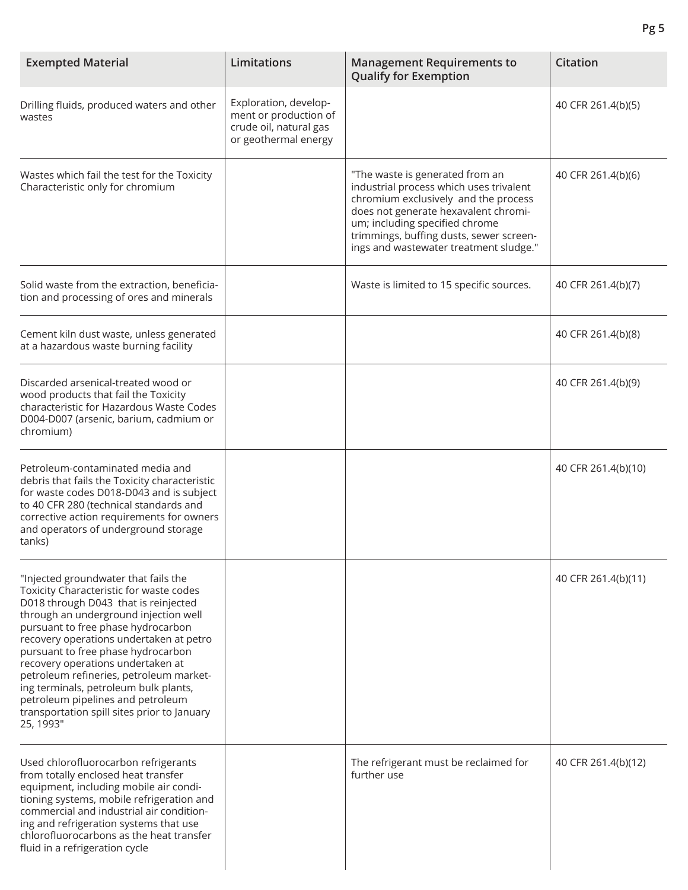| <b>Exempted Material</b>                                                                                                                                                                                                                                                                                                                                                                                                                                                                                          | <b>Limitations</b>                                                                               | <b>Management Requirements to</b><br><b>Qualify for Exemption</b>                                                                                                                                                                                                                 | <b>Citation</b>     |
|-------------------------------------------------------------------------------------------------------------------------------------------------------------------------------------------------------------------------------------------------------------------------------------------------------------------------------------------------------------------------------------------------------------------------------------------------------------------------------------------------------------------|--------------------------------------------------------------------------------------------------|-----------------------------------------------------------------------------------------------------------------------------------------------------------------------------------------------------------------------------------------------------------------------------------|---------------------|
| Drilling fluids, produced waters and other<br>wastes                                                                                                                                                                                                                                                                                                                                                                                                                                                              | Exploration, develop-<br>ment or production of<br>crude oil, natural gas<br>or geothermal energy |                                                                                                                                                                                                                                                                                   | 40 CFR 261.4(b)(5)  |
| Wastes which fail the test for the Toxicity<br>Characteristic only for chromium                                                                                                                                                                                                                                                                                                                                                                                                                                   |                                                                                                  | "The waste is generated from an<br>industrial process which uses trivalent<br>chromium exclusively and the process<br>does not generate hexavalent chromi-<br>um; including specified chrome<br>trimmings, buffing dusts, sewer screen-<br>ings and wastewater treatment sludge." | 40 CFR 261.4(b)(6)  |
| Solid waste from the extraction, beneficia-<br>tion and processing of ores and minerals                                                                                                                                                                                                                                                                                                                                                                                                                           |                                                                                                  | Waste is limited to 15 specific sources.                                                                                                                                                                                                                                          | 40 CFR 261.4(b)(7)  |
| Cement kiln dust waste, unless generated<br>at a hazardous waste burning facility                                                                                                                                                                                                                                                                                                                                                                                                                                 |                                                                                                  |                                                                                                                                                                                                                                                                                   | 40 CFR 261.4(b)(8)  |
| Discarded arsenical-treated wood or<br>wood products that fail the Toxicity<br>characteristic for Hazardous Waste Codes<br>D004-D007 (arsenic, barium, cadmium or<br>chromium)                                                                                                                                                                                                                                                                                                                                    |                                                                                                  |                                                                                                                                                                                                                                                                                   | 40 CFR 261.4(b)(9)  |
| Petroleum-contaminated media and<br>debris that fails the Toxicity characteristic<br>for waste codes D018-D043 and is subject<br>to 40 CFR 280 (technical standards and<br>corrective action requirements for owners<br>and operators of underground storage<br>tanks)                                                                                                                                                                                                                                            |                                                                                                  |                                                                                                                                                                                                                                                                                   | 40 CFR 261.4(b)(10) |
| "Injected groundwater that fails the<br>Toxicity Characteristic for waste codes<br>D018 through D043 that is reinjected<br>through an underground injection well<br>pursuant to free phase hydrocarbon<br>recovery operations undertaken at petro<br>pursuant to free phase hydrocarbon<br>recovery operations undertaken at<br>petroleum refineries, petroleum market-<br>ing terminals, petroleum bulk plants,<br>petroleum pipelines and petroleum<br>transportation spill sites prior to January<br>25, 1993" |                                                                                                  |                                                                                                                                                                                                                                                                                   | 40 CFR 261.4(b)(11) |
| Used chlorofluorocarbon refrigerants<br>from totally enclosed heat transfer<br>equipment, including mobile air condi-<br>tioning systems, mobile refrigeration and<br>commercial and industrial air condition-<br>ing and refrigeration systems that use<br>chlorofluorocarbons as the heat transfer<br>fluid in a refrigeration cycle                                                                                                                                                                            |                                                                                                  | The refrigerant must be reclaimed for<br>further use                                                                                                                                                                                                                              | 40 CFR 261.4(b)(12) |

**Pg 5**